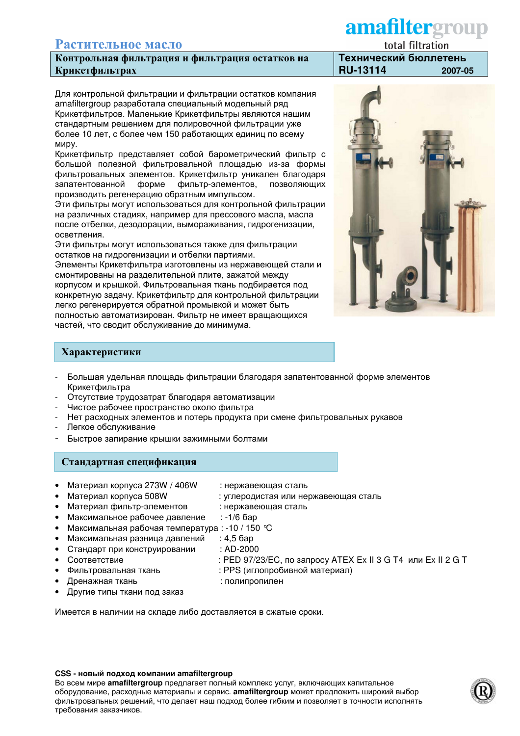# Растительное масло

Контрольная фильтрация и фильтрация остатков на Крикетфильтрах

Для контрольной фильтрации и фильтрации остатков компания amafiltergroup разработала специальный модельный ряд Крикетфильтров. Маленькие Крикетфильтры являются нашим стандартным решением для полировочной фильтрации уже более 10 лет, с более чем 150 работающих единиц по всему миру.

Крикетфильтр представляет собой барометрический фильтр с большой полезной фильтровальной площадью из-за формы фильтровальных элементов. Крикетфильтр уникален благодаря запатентованной форме фильтр-элементов, позволяющих производить регенерацию обратным импульсом.

Эти фильтры могут использоваться для контрольной фильтрации на различных стадиях, например для прессового масла, масла после отбелки, дезодорации, вымораживания, гидрогенизации, осветления.

Эти фильтры могут использоваться также для фильтрации остатков на гидрогенизации и отбелки партиями.

Элементы Крикетфильтра изготовлены из нержавеющей стали и смонтированы на разделительной плите, зажатой между корпусом и крышкой. Фильтровальная ткань подбирается под конкретную задачу. Крикетфильтр для контрольной фильтрации легко регенерируется обратной промывкой и может быть полностью автоматизирован. Фильтр не имеет вращающихся частей, что сводит обслуживание до минимума.

## Характеристики

- Большая удельная площадь фильтрации благодаря запатентованной форме элементов Крикетфильтра
- Отсутствие трудозатрат благодаря автоматизации
- Чистое рабочее пространство около фильтра
- Нет расходных элементов и потерь продукта при смене фильтровальных рукавов
- Легкое обслуживание
- Быстрое запирание крышки зажимными болтами

#### Стандартная спецификация

- Материал корпуса 273W / 406W
- Материал корпуса 508W  $\bullet$
- : нержавеющая сталь : углеродистая или нержавеющая сталь

: полипропилен

: PPS (иглопробивной материал)

: PED 97/23/EC, по запросу ATEX Ex II 3 G T4 или Ex II 2 G T

- $\bullet$ Материал фильтр-элементов : нержавеющая сталь
- Максимальное рабочее давление  $\bullet$
- $: -1/6$  бар Максимальная рабочая температура: -10 / 150 ℃
- Максимальная разница давлений  $: 4.5$  бар
- Стандарт при конструировании : AD-2000
- Соответствие
- Фильтровальная ткань
- Дренажная ткань
- Другие типы ткани под заказ

Имеется в наличии на складе либо доставляется в сжатые сроки.

#### CSS - новый подход компании amafiltergroup

Во всем мире amafiltergroup предлагает полный комплекс услуг, включающих капитальное оборудование, расходные материалы и сервис. amafiltergroup может предложить широкий выбор фильтровальных решений, что делает наш подход более гибким и позволяет в точности исполнять требования заказчиков.

# amafiltergroup

total filtration Технический бюллетень **RU-13114** 2007-05